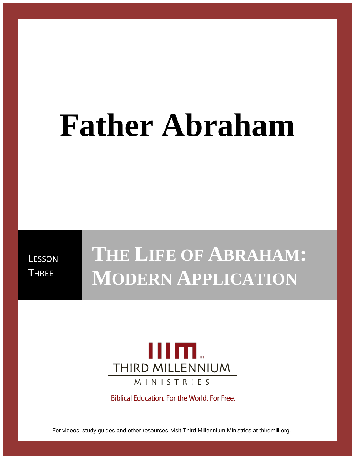# **Father Abraham**

**LESSON THREE** 

# **THE LIFE OF ABRAHAM: MODERN APPLICATION**



Biblical Education. For the World. For Free.

For videos, study guides and other resources, visit Third Millennium Ministries at thirdmill.org.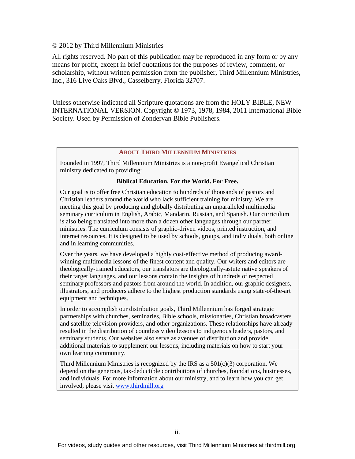#### © 2012 by Third Millennium Ministries

All rights reserved. No part of this publication may be reproduced in any form or by any means for profit, except in brief quotations for the purposes of review, comment, or scholarship, without written permission from the publisher, Third Millennium Ministries, Inc., 316 Live Oaks Blvd., Casselberry, Florida 32707.

Unless otherwise indicated all Scripture quotations are from the HOLY BIBLE, NEW INTERNATIONAL VERSION. Copyright © 1973, 1978, 1984, 2011 International Bible Society. Used by Permission of Zondervan Bible Publishers.

#### **ABOUT THIRD MILLENNIUM MINISTRIES**

Founded in 1997, Third Millennium Ministries is a non-profit Evangelical Christian ministry dedicated to providing:

#### **Biblical Education. For the World. For Free.**

Our goal is to offer free Christian education to hundreds of thousands of pastors and Christian leaders around the world who lack sufficient training for ministry. We are meeting this goal by producing and globally distributing an unparalleled multimedia seminary curriculum in English, Arabic, Mandarin, Russian, and Spanish. Our curriculum is also being translated into more than a dozen other languages through our partner ministries. The curriculum consists of graphic-driven videos, printed instruction, and internet resources. It is designed to be used by schools, groups, and individuals, both online and in learning communities.

Over the years, we have developed a highly cost-effective method of producing awardwinning multimedia lessons of the finest content and quality. Our writers and editors are theologically-trained educators, our translators are theologically-astute native speakers of their target languages, and our lessons contain the insights of hundreds of respected seminary professors and pastors from around the world. In addition, our graphic designers, illustrators, and producers adhere to the highest production standards using state-of-the-art equipment and techniques.

In order to accomplish our distribution goals, Third Millennium has forged strategic partnerships with churches, seminaries, Bible schools, missionaries, Christian broadcasters and satellite television providers, and other organizations. These relationships have already resulted in the distribution of countless video lessons to indigenous leaders, pastors, and seminary students. Our websites also serve as avenues of distribution and provide additional materials to supplement our lessons, including materials on how to start your own learning community.

Third Millennium Ministries is recognized by the IRS as a  $501(c)(3)$  corporation. We depend on the generous, tax-deductible contributions of churches, foundations, businesses, and individuals. For more information about our ministry, and to learn how you can get involved, please visit [www.thirdmill.org](http://www.thirdmill.org/)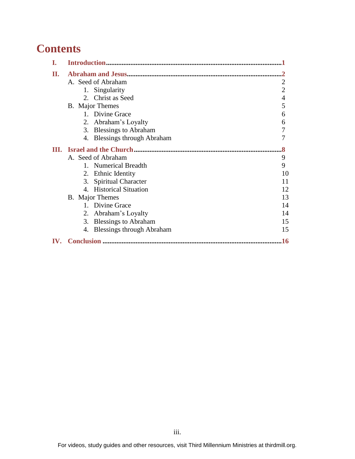# **Contents**

| I.  |                              |                |
|-----|------------------------------|----------------|
| П.  |                              |                |
|     | A. Seed of Abraham           | 2              |
|     | 1. Singularity               | $\overline{2}$ |
|     | 2. Christ as Seed            | 4              |
|     | B. Major Themes              | 5              |
|     | 1. Divine Grace              | 6              |
|     | 2. Abraham's Loyalty         | 6              |
|     | 3. Blessings to Abraham      | 7              |
|     | 4. Blessings through Abraham | 7              |
|     |                              |                |
|     | A. Seed of Abraham           | 9              |
|     | 1. Numerical Breadth         | 9              |
|     | 2. Ethnic Identity           | 10             |
|     | 3. Spiritual Character       | 11             |
|     | 4. Historical Situation      | 12             |
|     | <b>B.</b> Major Themes       | 13             |
|     | 1. Divine Grace              | 14             |
|     | 2. Abraham's Loyalty         | 14             |
|     | 3. Blessings to Abraham      | 15             |
|     | 4. Blessings through Abraham | 15             |
| IV. |                              | 16             |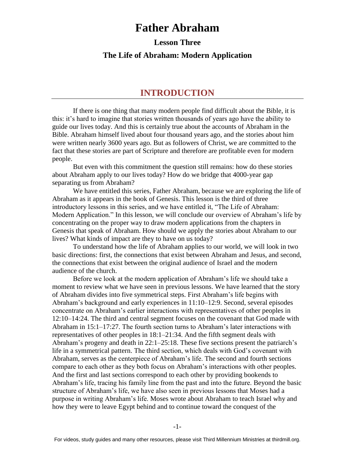# **Father Abraham**

**Lesson Three**

#### **The Life of Abraham: Modern Application**

#### **INTRODUCTION**

If there is one thing that many modern people find difficult about the Bible, it is this: it's hard to imagine that stories written thousands of years ago have the ability to guide our lives today. And this is certainly true about the accounts of Abraham in the Bible. Abraham himself lived about four thousand years ago, and the stories about him were written nearly 3600 years ago. But as followers of Christ, we are committed to the fact that these stories are part of Scripture and therefore are profitable even for modern people.

But even with this commitment the question still remains: how do these stories about Abraham apply to our lives today? How do we bridge that 4000-year gap separating us from Abraham?

We have entitled this series, Father Abraham, because we are exploring the life of Abraham as it appears in the book of Genesis. This lesson is the third of three introductory lessons in this series, and we have entitled it, "The Life of Abraham: Modern Application." In this lesson, we will conclude our overview of Abraham's life by concentrating on the proper way to draw modern applications from the chapters in Genesis that speak of Abraham. How should we apply the stories about Abraham to our lives? What kinds of impact are they to have on us today?

To understand how the life of Abraham applies to our world, we will look in two basic directions: first, the connections that exist between Abraham and Jesus, and second, the connections that exist between the original audience of Israel and the modern audience of the church.

Before we look at the modern application of Abraham's life we should take a moment to review what we have seen in previous lessons. We have learned that the story of Abraham divides into five symmetrical steps. First Abraham's life begins with Abraham's background and early experiences in 11:10–12:9. Second, several episodes concentrate on Abraham's earlier interactions with representatives of other peoples in 12:10–14:24. The third and central segment focuses on the covenant that God made with Abraham in 15:1–17:27. The fourth section turns to Abraham's later interactions with representatives of other peoples in 18:1–21:34. And the fifth segment deals with Abraham's progeny and death in 22:1–25:18. These five sections present the patriarch's life in a symmetrical pattern. The third section, which deals with God's covenant with Abraham, serves as the centerpiece of Abraham's life. The second and fourth sections compare to each other as they both focus on Abraham's interactions with other peoples. And the first and last sections correspond to each other by providing bookends to Abraham's life, tracing his family line from the past and into the future. Beyond the basic structure of Abraham's life, we have also seen in previous lessons that Moses had a purpose in writing Abraham's life. Moses wrote about Abraham to teach Israel why and how they were to leave Egypt behind and to continue toward the conquest of the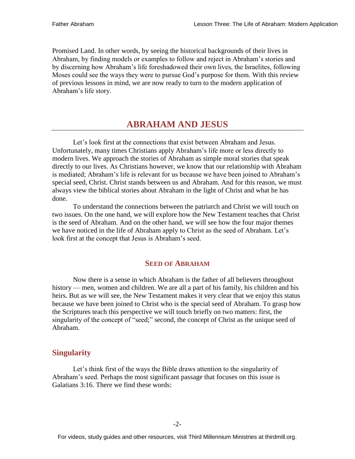Promised Land. In other words, by seeing the historical backgrounds of their lives in Abraham, by finding models or examples to follow and reject in Abraham's stories and by discerning how Abraham's life foreshadowed their own lives, the Israelites, following Moses could see the ways they were to pursue God's purpose for them. With this review of previous lessons in mind, we are now ready to turn to the modern application of Abraham's life story.

#### **ABRAHAM AND JESUS**

Let's look first at the connections that exist between Abraham and Jesus. Unfortunately, many times Christians apply Abraham's life more or less directly to modern lives. We approach the stories of Abraham as simple moral stories that speak directly to our lives. As Christians however, we know that our relationship with Abraham is mediated; Abraham's life is relevant for us because we have been joined to Abraham's special seed, Christ. Christ stands between us and Abraham. And for this reason, we must always view the biblical stories about Abraham in the light of Christ and what he has done.

To understand the connections between the patriarch and Christ we will touch on two issues. On the one hand, we will explore how the New Testament teaches that Christ is the seed of Abraham. And on the other hand, we will see how the four major themes we have noticed in the life of Abraham apply to Christ as the seed of Abraham. Let's look first at the concept that Jesus is Abraham's seed.

#### **SEED OF ABRAHAM**

Now there is a sense in which Abraham is the father of all believers throughout history — men, women and children. We are all a part of his family, his children and his heirs. But as we will see, the New Testament makes it very clear that we enjoy this status because we have been joined to Christ who is the special seed of Abraham. To grasp how the Scriptures teach this perspective we will touch briefly on two matters: first, the singularity of the concept of "seed;" second, the concept of Christ as the unique seed of Abraham.

#### **Singularity**

Let's think first of the ways the Bible draws attention to the singularity of Abraham's seed. Perhaps the most significant passage that focuses on this issue is Galatians 3:16. There we find these words: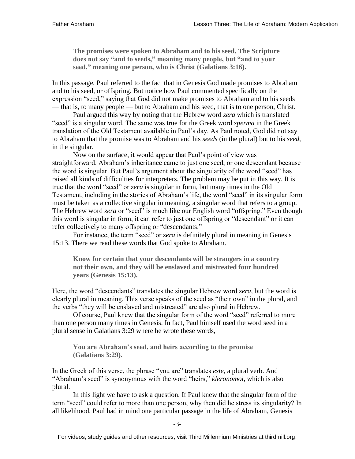**The promises were spoken to Abraham and to his seed. The Scripture does not say "and to seeds," meaning many people, but "and to your seed," meaning one person, who is Christ (Galatians 3:16).**

In this passage, Paul referred to the fact that in Genesis God made promises to Abraham and to his seed, or offspring. But notice how Paul commented specifically on the expression "seed," saying that God did not make promises to Abraham and to his seeds — that is, to many people — but to Abraham and his seed, that is to one person, Christ.

Paul argued this way by noting that the Hebrew word *zera* which is translated "seed" is a singular word. The same was true for the Greek word *sperma* in the Greek translation of the Old Testament available in Paul's day. As Paul noted, God did not say to Abraham that the promise was to Abraham and his *seeds* (in the plural) but to his *seed*, in the singular.

Now on the surface, it would appear that Paul's point of view was straightforward. Abraham's inheritance came to just one seed, or one descendant because the word is singular. But Paul's argument about the singularity of the word "seed" has raised all kinds of difficulties for interpreters. The problem may be put in this way. It is true that the word "seed" or *zera* is singular in form, but many times in the Old Testament, including in the stories of Abraham's life, the word "seed" in its singular form must be taken as a collective singular in meaning, a singular word that refers to a group. The Hebrew word *zera* or "seed" is much like our English word "offspring." Even though this word is singular in form, it can refer to just one offspring or "descendant" or it can refer collectively to many offspring or "descendants."

For instance, the term "seed" or *zera* is definitely plural in meaning in Genesis 15:13. There we read these words that God spoke to Abraham.

**Know for certain that your descendants will be strangers in a country not their own, and they will be enslaved and mistreated four hundred years (Genesis 15:13).**

Here, the word "descendants" translates the singular Hebrew word *zera*, but the word is clearly plural in meaning. This verse speaks of the seed as "their own" in the plural, and the verbs "they will be enslaved and mistreated" are also plural in Hebrew.

Of course, Paul knew that the singular form of the word "seed" referred to more than one person many times in Genesis. In fact, Paul himself used the word seed in a plural sense in Galatians 3:29 where he wrote these words,

**You are Abraham's seed, and heirs according to the promise (Galatians 3:29).**

In the Greek of this verse, the phrase "you are" translates *este,* a plural verb. And "Abraham's seed" is synonymous with the word "heirs," *kleronomoi*, which is also plural.

In this light we have to ask a question. If Paul knew that the singular form of the term "seed" could refer to more than one person, why then did he stress its singularity? In all likelihood, Paul had in mind one particular passage in the life of Abraham, Genesis

For videos, study guides and other resources, visit Third Millennium Ministries at thirdmill.org.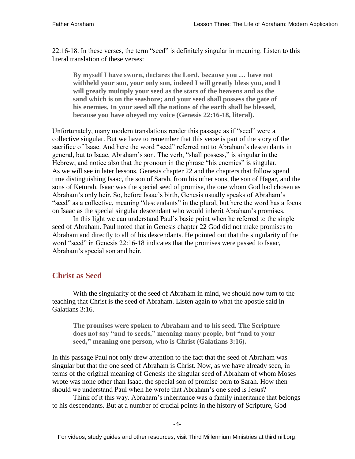22:16-18. In these verses, the term "seed" is definitely singular in meaning. Listen to this literal translation of these verses:

**By myself I have sworn, declares the Lord, because you … have not withheld your son, your only son, indeed I will greatly bless you, and I will greatly multiply your seed as the stars of the heavens and as the sand which is on the seashore; and your seed shall possess the gate of his enemies. In your seed all the nations of the earth shall be blessed, because you have obeyed my voice (Genesis 22:16-18, literal).**

Unfortunately, many modern translations render this passage as if "seed" were a collective singular. But we have to remember that this verse is part of the story of the sacrifice of Isaac. And here the word "seed" referred not to Abraham's descendants in general, but to Isaac, Abraham's son. The verb, "shall possess," is singular in the Hebrew, and notice also that the pronoun in the phrase "his enemies" is singular. As we will see in later lessons, Genesis chapter 22 and the chapters that follow spend time distinguishing Isaac, the son of Sarah, from his other sons, the son of Hagar, and the sons of Keturah. Isaac was the special seed of promise, the one whom God had chosen as Abraham's only heir. So, before Isaac's birth, Genesis usually speaks of Abraham's "seed" as a collective, meaning "descendants" in the plural, but here the word has a focus on Isaac as the special singular descendant who would inherit Abraham's promises.

In this light we can understand Paul's basic point when he referred to the single seed of Abraham. Paul noted that in Genesis chapter 22 God did not make promises to Abraham and directly to all of his descendants. He pointed out that the singularity of the word "seed" in Genesis 22:16-18 indicates that the promises were passed to Isaac, Abraham's special son and heir.

#### **Christ as Seed**

With the singularity of the seed of Abraham in mind, we should now turn to the teaching that Christ is the seed of Abraham. Listen again to what the apostle said in Galatians 3:16.

**The promises were spoken to Abraham and to his seed. The Scripture does not say "and to seeds," meaning many people, but "and to your seed," meaning one person, who is Christ (Galatians 3:16).**

In this passage Paul not only drew attention to the fact that the seed of Abraham was singular but that the one seed of Abraham is Christ. Now, as we have already seen, in terms of the original meaning of Genesis the singular seed of Abraham of whom Moses wrote was none other than Isaac, the special son of promise born to Sarah. How then should we understand Paul when he wrote that Abraham's one seed is Jesus?

Think of it this way. Abraham's inheritance was a family inheritance that belongs to his descendants. But at a number of crucial points in the history of Scripture, God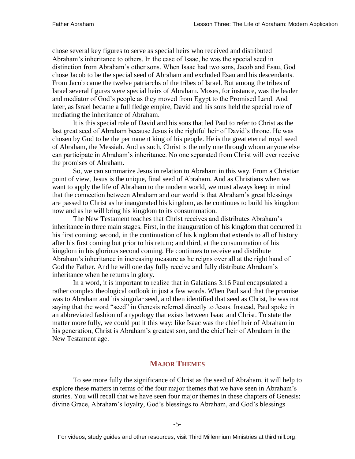chose several key figures to serve as special heirs who received and distributed Abraham's inheritance to others. In the case of Isaac, he was the special seed in distinction from Abraham's other sons. When Isaac had two sons, Jacob and Esau, God chose Jacob to be the special seed of Abraham and excluded Esau and his descendants. From Jacob came the twelve patriarchs of the tribes of Israel. But among the tribes of Israel several figures were special heirs of Abraham. Moses, for instance, was the leader and mediator of God's people as they moved from Egypt to the Promised Land. And later, as Israel became a full fledge empire, David and his sons held the special role of mediating the inheritance of Abraham.

It is this special role of David and his sons that led Paul to refer to Christ as the last great seed of Abraham because Jesus is the rightful heir of David's throne. He was chosen by God to be the permanent king of his people. He is the great eternal royal seed of Abraham, the Messiah. And as such, Christ is the only one through whom anyone else can participate in Abraham's inheritance. No one separated from Christ will ever receive the promises of Abraham.

So, we can summarize Jesus in relation to Abraham in this way. From a Christian point of view, Jesus is the unique, final seed of Abraham. And as Christians when we want to apply the life of Abraham to the modern world, we must always keep in mind that the connection between Abraham and our world is that Abraham's great blessings are passed to Christ as he inaugurated his kingdom, as he continues to build his kingdom now and as he will bring his kingdom to its consummation.

The New Testament teaches that Christ receives and distributes Abraham's inheritance in three main stages. First, in the inauguration of his kingdom that occurred in his first coming; second, in the continuation of his kingdom that extends to all of history after his first coming but prior to his return; and third, at the consummation of his kingdom in his glorious second coming. He continues to receive and distribute Abraham's inheritance in increasing measure as he reigns over all at the right hand of God the Father. And he will one day fully receive and fully distribute Abraham's inheritance when he returns in glory.

In a word, it is important to realize that in Galatians 3:16 Paul encapsulated a rather complex theological outlook in just a few words. When Paul said that the promise was to Abraham and his singular seed, and then identified that seed as Christ, he was not saying that the word "seed" in Genesis referred directly to Jesus. Instead, Paul spoke in an abbreviated fashion of a typology that exists between Isaac and Christ. To state the matter more fully, we could put it this way: like Isaac was the chief heir of Abraham in his generation, Christ is Abraham's greatest son, and the chief heir of Abraham in the New Testament age.

#### **MAJOR THEMES**

To see more fully the significance of Christ as the seed of Abraham, it will help to explore these matters in terms of the four major themes that we have seen in Abraham's stories. You will recall that we have seen four major themes in these chapters of Genesis: divine Grace, Abraham's loyalty, God's blessings to Abraham, and God's blessings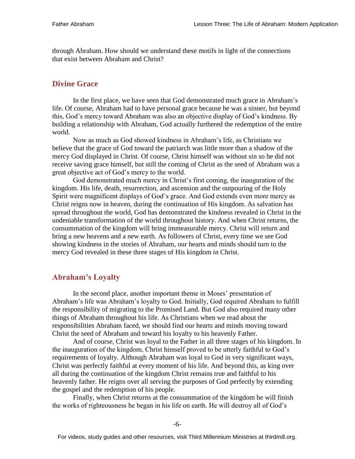through Abraham. How should we understand these motifs in light of the connections that exist between Abraham and Christ?

#### **Divine Grace**

In the first place, we have seen that God demonstrated much grace in Abraham's life. Of course, Abraham had to have personal grace because he was a sinner, but beyond this, God's mercy toward Abraham was also an objective display of God's kindness. By building a relationship with Abraham, God actually furthered the redemption of the entire world.

Now as much as God showed kindness in Abraham's life, as Christians we believe that the grace of God toward the patriarch was little more than a shadow of the mercy God displayed in Christ. Of course, Christ himself was without sin so he did not receive saving grace himself, but still the coming of Christ as the seed of Abraham was a great objective act of God's mercy to the world.

God demonstrated much mercy in Christ's first coming, the inauguration of the kingdom. His life, death, resurrection, and ascension and the outpouring of the Holy Spirit were magnificent displays of God's grace. And God extends even more mercy as Christ reigns now in heaven, during the continuation of His kingdom. As salvation has spread throughout the world, God has demonstrated the kindness revealed in Christ in the undeniable transformation of the world throughout history. And when Christ returns, the consummation of the kingdom will bring immeasurable mercy. Christ will return and bring a new heavens and a new earth. As followers of Christ, every time we see God showing kindness in the stories of Abraham, our hearts and minds should turn to the mercy God revealed in these three stages of His kingdom in Christ.

#### **Abraham's Loyalty**

In the second place, another important theme in Moses' presentation of Abraham's life was Abraham's loyalty to God. Initially, God required Abraham to fulfill the responsibility of migrating to the Promised Land. But God also required many other things of Abraham throughout his life. As Christians when we read about the responsibilities Abraham faced, we should find our hearts and minds moving toward Christ the seed of Abraham and toward his loyalty to his heavenly Father.

And of course, Christ was loyal to the Father in all three stages of his kingdom. In the inauguration of the kingdom, Christ himself proved to be utterly faithful to God's requirements of loyalty. Although Abraham was loyal to God in very significant ways, Christ was perfectly faithful at every moment of his life. And beyond this, as king over all during the continuation of the kingdom Christ remains true and faithful to his heavenly father. He reigns over all serving the purposes of God perfectly by extending the gospel and the redemption of his people.

Finally, when Christ returns at the consummation of the kingdom he will finish the works of righteousness he began in his life on earth. He will destroy all of God's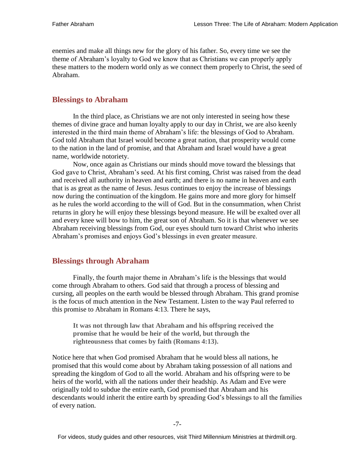enemies and make all things new for the glory of his father. So, every time we see the theme of Abraham's loyalty to God we know that as Christians we can properly apply these matters to the modern world only as we connect them properly to Christ, the seed of Abraham.

#### **Blessings to Abraham**

In the third place, as Christians we are not only interested in seeing how these themes of divine grace and human loyalty apply to our day in Christ, we are also keenly interested in the third main theme of Abraham's life: the blessings of God to Abraham. God told Abraham that Israel would become a great nation, that prosperity would come to the nation in the land of promise, and that Abraham and Israel would have a great name, worldwide notoriety.

Now, once again as Christians our minds should move toward the blessings that God gave to Christ, Abraham's seed. At his first coming, Christ was raised from the dead and received all authority in heaven and earth; and there is no name in heaven and earth that is as great as the name of Jesus. Jesus continues to enjoy the increase of blessings now during the continuation of the kingdom. He gains more and more glory for himself as he rules the world according to the will of God. But in the consummation, when Christ returns in glory he will enjoy these blessings beyond measure. He will be exalted over all and every knee will bow to him, the great son of Abraham. So it is that whenever we see Abraham receiving blessings from God, our eyes should turn toward Christ who inherits Abraham's promises and enjoys God's blessings in even greater measure.

#### **Blessings through Abraham**

Finally, the fourth major theme in Abraham's life is the blessings that would come through Abraham to others. God said that through a process of blessing and cursing, all peoples on the earth would be blessed through Abraham. This grand promise is the focus of much attention in the New Testament. Listen to the way Paul referred to this promise to Abraham in Romans 4:13. There he says,

**It was not through law that Abraham and his offspring received the promise that he would be heir of the world, but through the righteousness that comes by faith (Romans 4:13).**

Notice here that when God promised Abraham that he would bless all nations, he promised that this would come about by Abraham taking possession of all nations and spreading the kingdom of God to all the world. Abraham and his offspring were to be heirs of the world, with all the nations under their headship. As Adam and Eve were originally told to subdue the entire earth, God promised that Abraham and his descendants would inherit the entire earth by spreading God's blessings to all the families of every nation.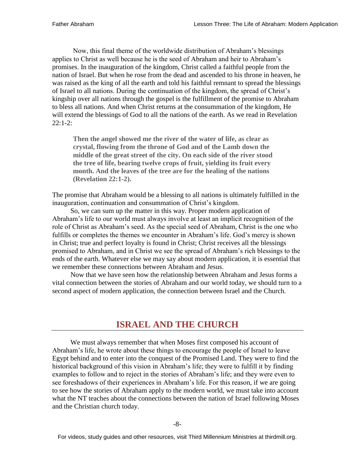Now, this final theme of the worldwide distribution of Abraham's blessings applies to Christ as well because he is the seed of Abraham and heir to Abraham's promises. In the inauguration of the kingdom, Christ called a faithful people from the nation of Israel. But when he rose from the dead and ascended to his throne in heaven, he was raised as the king of all the earth and told his faithful remnant to spread the blessings of Israel to all nations. During the continuation of the kingdom, the spread of Christ's kingship over all nations through the gospel is the fulfillment of the promise to Abraham to bless all nations. And when Christ returns at the consummation of the kingdom, He will extend the blessings of God to all the nations of the earth. As we read in Revelation  $22:1-2:$ 

**Then the angel showed me the river of the water of life, as clear as crystal, flowing from the throne of God and of the Lamb down the middle of the great street of the city. On each side of the river stood the tree of life, bearing twelve crops of fruit, yielding its fruit every month. And the leaves of the tree are for the healing of the nations (Revelation 22:1-2).**

The promise that Abraham would be a blessing to all nations is ultimately fulfilled in the inauguration, continuation and consummation of Christ's kingdom.

So, we can sum up the matter in this way. Proper modern application of Abraham's life to our world must always involve at least an implicit recognition of the role of Christ as Abraham's seed. As the special seed of Abraham, Christ is the one who fulfills or completes the themes we encounter in Abraham's life. God's mercy is shown in Christ; true and perfect loyalty is found in Christ; Christ receives all the blessings promised to Abraham, and in Christ we see the spread of Abraham's rich blessings to the ends of the earth. Whatever else we may say about modern application, it is essential that we remember these connections between Abraham and Jesus.

Now that we have seen how the relationship between Abraham and Jesus forms a vital connection between the stories of Abraham and our world today, we should turn to a second aspect of modern application, the connection between Israel and the Church.

### **ISRAEL AND THE CHURCH**

We must always remember that when Moses first composed his account of Abraham's life, he wrote about these things to encourage the people of Israel to leave Egypt behind and to enter into the conquest of the Promised Land. They were to find the historical background of this vision in Abraham's life; they were to fulfill it by finding examples to follow and to reject in the stories of Abraham's life; and they were even to see foreshadows of their experiences in Abraham's life. For this reason, if we are going to see how the stories of Abraham apply to the modern world, we must take into account what the NT teaches about the connections between the nation of Israel following Moses and the Christian church today.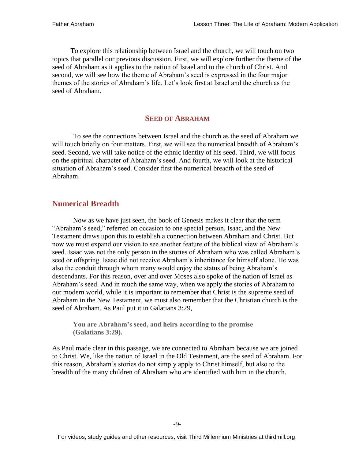To explore this relationship between Israel and the church, we will touch on two topics that parallel our previous discussion. First, we will explore further the theme of the seed of Abraham as it applies to the nation of Israel and to the church of Christ. And second, we will see how the theme of Abraham's seed is expressed in the four major themes of the stories of Abraham's life. Let's look first at Israel and the church as the seed of Abraham.

#### **SEED OF ABRAHAM**

To see the connections between Israel and the church as the seed of Abraham we will touch briefly on four matters. First, we will see the numerical breadth of Abraham's seed. Second, we will take notice of the ethnic identity of his seed. Third, we will focus on the spiritual character of Abraham's seed. And fourth, we will look at the historical situation of Abraham's seed. Consider first the numerical breadth of the seed of Abraham.

#### **Numerical Breadth**

Now as we have just seen, the book of Genesis makes it clear that the term "Abraham's seed," referred on occasion to one special person, Isaac, and the New Testament draws upon this to establish a connection between Abraham and Christ. But now we must expand our vision to see another feature of the biblical view of Abraham's seed. Isaac was not the only person in the stories of Abraham who was called Abraham's seed or offspring. Isaac did not receive Abraham's inheritance for himself alone. He was also the conduit through whom many would enjoy the status of being Abraham's descendants. For this reason, over and over Moses also spoke of the nation of Israel as Abraham's seed. And in much the same way, when we apply the stories of Abraham to our modern world, while it is important to remember that Christ is the supreme seed of Abraham in the New Testament, we must also remember that the Christian church is the seed of Abraham. As Paul put it in Galatians 3:29,

**You are Abraham's seed, and heirs according to the promise (Galatians 3:29).**

As Paul made clear in this passage, we are connected to Abraham because we are joined to Christ. We, like the nation of Israel in the Old Testament, are the seed of Abraham. For this reason, Abraham's stories do not simply apply to Christ himself, but also to the breadth of the many children of Abraham who are identified with him in the church.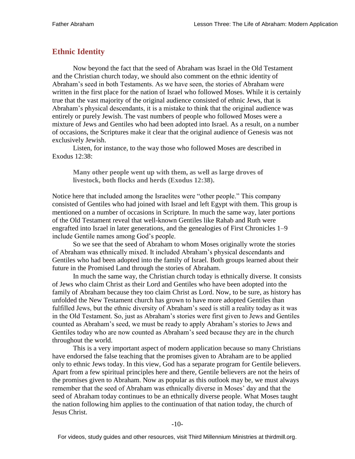#### **Ethnic Identity**

Now beyond the fact that the seed of Abraham was Israel in the Old Testament and the Christian church today, we should also comment on the ethnic identity of Abraham's seed in both Testaments. As we have seen, the stories of Abraham were written in the first place for the nation of Israel who followed Moses. While it is certainly true that the vast majority of the original audience consisted of ethnic Jews, that is Abraham's physical descendants, it is a mistake to think that the original audience was entirely or purely Jewish. The vast numbers of people who followed Moses were a mixture of Jews and Gentiles who had been adopted into Israel. As a result, on a number of occasions, the Scriptures make it clear that the original audience of Genesis was not exclusively Jewish.

Listen, for instance, to the way those who followed Moses are described in Exodus 12:38:

**Many other people went up with them, as well as large droves of livestock, both flocks and herds (Exodus 12:38).**

Notice here that included among the Israelites were "other people." This company consisted of Gentiles who had joined with Israel and left Egypt with them. This group is mentioned on a number of occasions in Scripture. In much the same way, later portions of the Old Testament reveal that well-known Gentiles like Rahab and Ruth were engrafted into Israel in later generations, and the genealogies of First Chronicles 1–9 include Gentile names among God's people.

So we see that the seed of Abraham to whom Moses originally wrote the stories of Abraham was ethnically mixed. It included Abraham's physical descendants and Gentiles who had been adopted into the family of Israel. Both groups learned about their future in the Promised Land through the stories of Abraham.

In much the same way, the Christian church today is ethnically diverse. It consists of Jews who claim Christ as their Lord and Gentiles who have been adopted into the family of Abraham because they too claim Christ as Lord. Now, to be sure, as history has unfolded the New Testament church has grown to have more adopted Gentiles than fulfilled Jews, but the ethnic diversity of Abraham's seed is still a reality today as it was in the Old Testament. So, just as Abraham's stories were first given to Jews and Gentiles counted as Abraham's seed, we must be ready to apply Abraham's stories to Jews and Gentiles today who are now counted as Abraham's seed because they are in the church throughout the world.

This is a very important aspect of modern application because so many Christians have endorsed the false teaching that the promises given to Abraham are to be applied only to ethnic Jews today. In this view, God has a separate program for Gentile believers. Apart from a few spiritual principles here and there, Gentile believers are not the heirs of the promises given to Abraham. Now as popular as this outlook may be, we must always remember that the seed of Abraham was ethnically diverse in Moses' day and that the seed of Abraham today continues to be an ethnically diverse people. What Moses taught the nation following him applies to the continuation of that nation today, the church of Jesus Christ.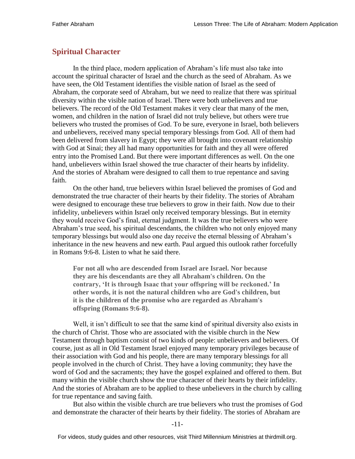#### **Spiritual Character**

In the third place, modern application of Abraham's life must also take into account the spiritual character of Israel and the church as the seed of Abraham. As we have seen, the Old Testament identifies the visible nation of Israel as the seed of Abraham, the corporate seed of Abraham, but we need to realize that there was spiritual diversity within the visible nation of Israel. There were both unbelievers and true believers. The record of the Old Testament makes it very clear that many of the men, women, and children in the nation of Israel did not truly believe, but others were true believers who trusted the promises of God. To be sure, everyone in Israel, both believers and unbelievers, received many special temporary blessings from God. All of them had been delivered from slavery in Egypt; they were all brought into covenant relationship with God at Sinai; they all had many opportunities for faith and they all were offered entry into the Promised Land. But there were important differences as well. On the one hand, unbelievers within Israel showed the true character of their hearts by infidelity. And the stories of Abraham were designed to call them to true repentance and saving faith.

On the other hand, true believers within Israel believed the promises of God and demonstrated the true character of their hearts by their fidelity. The stories of Abraham were designed to encourage these true believers to grow in their faith. Now due to their infidelity, unbelievers within Israel only received temporary blessings. But in eternity they would receive God's final, eternal judgment. It was the true believers who were Abraham's true seed, his spiritual descendants, the children who not only enjoyed many temporary blessings but would also one day receive the eternal blessing of Abraham's inheritance in the new heavens and new earth. Paul argued this outlook rather forcefully in Romans 9:6-8. Listen to what he said there.

**For not all who are descended from Israel are Israel. Nor because they are his descendants are they all Abraham's children. On the contrary, 'It is through Isaac that your offspring will be reckoned.' In other words, it is not the natural children who are God's children, but it is the children of the promise who are regarded as Abraham's offspring (Romans 9:6-8).**

Well, it isn't difficult to see that the same kind of spiritual diversity also exists in the church of Christ. Those who are associated with the visible church in the New Testament through baptism consist of two kinds of people: unbelievers and believers. Of course, just as all in Old Testament Israel enjoyed many temporary privileges because of their association with God and his people, there are many temporary blessings for all people involved in the church of Christ. They have a loving community; they have the word of God and the sacraments; they have the gospel explained and offered to them. But many within the visible church show the true character of their hearts by their infidelity. And the stories of Abraham are to be applied to these unbelievers in the church by calling for true repentance and saving faith.

But also within the visible church are true believers who trust the promises of God and demonstrate the character of their hearts by their fidelity. The stories of Abraham are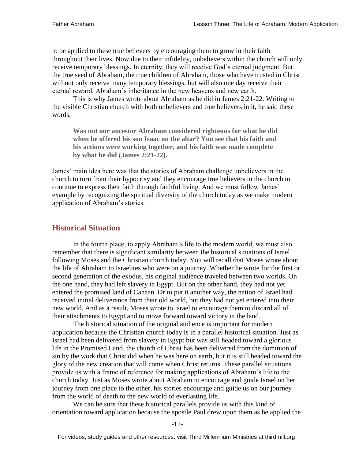to be applied to these true believers by encouraging them to grow in their faith throughout their lives. Now due to their infidelity, unbelievers within the church will only receive temporary blessings. In eternity, they will receive God's eternal judgment. But the true seed of Abraham, the true children of Abraham, those who have trusted in Christ will not only receive many temporary blessings, but will also one day receive their eternal reward, Abraham's inheritance in the new heavens and new earth.

This is why James wrote about Abraham as he did in James 2:21-22. Writing to the visible Christian church with both unbelievers and true believers in it, he said these words,

**Was not our ancestor Abraham considered righteous for what he did when he offered his son Isaac on the altar? You see that his faith and his actions were working together, and his faith was made complete by what he did (James 2:21-22).**

James' main idea here was that the stories of Abraham challenge unbelievers in the church to turn from their hypocrisy and they encourage true believers in the church to continue to express their faith through faithful living. And we must follow James' example by recognizing the spiritual diversity of the church today as we make modern application of Abraham's stories.

#### **Historical Situation**

In the fourth place, to apply Abraham's life to the modern world, we must also remember that there is significant similarity between the historical situations of Israel following Moses and the Christian church today. You will recall that Moses wrote about the life of Abraham to Israelites who were on a journey. Whether he wrote for the first or second generation of the exodus, his original audience traveled between two worlds. On the one hand, they had left slavery in Egypt. But on the other hand, they had not yet entered the promised land of Canaan. Or to put it another way, the nation of Israel had received initial deliverance from their old world, but they had not yet entered into their new world. And as a result, Moses wrote to Israel to encourage them to discard all of their attachments to Egypt and to move forward toward victory in the land.

The historical situation of the original audience is important for modern application because the Christian church today is in a parallel historical situation. Just as Israel had been delivered from slavery in Egypt but was still headed toward a glorious life in the Promised Land, the church of Christ has been delivered from the dominion of sin by the work that Christ did when he was here on earth, but it is still headed toward the glory of the new creation that will come when Christ returns. These parallel situations provide us with a frame of reference for making applications of Abraham's life to the church today. Just as Moses wrote about Abraham to encourage and guide Israel on her journey from one place to the other, his stories encourage and guide us on our journey from the world of death to the new world of everlasting life.

We can be sure that these historical parallels provide us with this kind of orientation toward application because the apostle Paul drew upon them as he applied the

-12-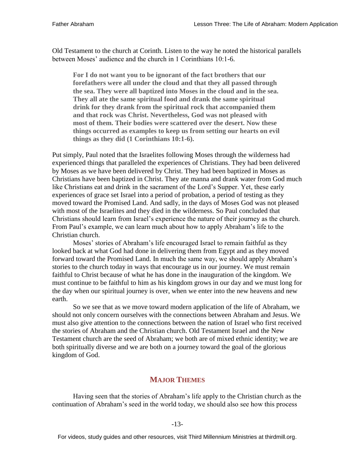Old Testament to the church at Corinth. Listen to the way he noted the historical parallels between Moses' audience and the church in 1 Corinthians 10:1-6.

**For I do not want you to be ignorant of the fact brothers that our forefathers were all under the cloud and that they all passed through the sea. They were all baptized into Moses in the cloud and in the sea. They all ate the same spiritual food and drank the same spiritual drink for they drank from the spiritual rock that accompanied them and that rock was Christ. Nevertheless, God was not pleased with most of them. Their bodies were scattered over the desert. Now these things occurred as examples to keep us from setting our hearts on evil things as they did (1 Corinthians 10:1-6).**

Put simply, Paul noted that the Israelites following Moses through the wilderness had experienced things that paralleled the experiences of Christians. They had been delivered by Moses as we have been delivered by Christ. They had been baptized in Moses as Christians have been baptized in Christ. They ate manna and drank water from God much like Christians eat and drink in the sacrament of the Lord's Supper. Yet, these early experiences of grace set Israel into a period of probation, a period of testing as they moved toward the Promised Land. And sadly, in the days of Moses God was not pleased with most of the Israelites and they died in the wilderness. So Paul concluded that Christians should learn from Israel's experience the nature of their journey as the church. From Paul's example, we can learn much about how to apply Abraham's life to the Christian church.

Moses' stories of Abraham's life encouraged Israel to remain faithful as they looked back at what God had done in delivering them from Egypt and as they moved forward toward the Promised Land. In much the same way, we should apply Abraham's stories to the church today in ways that encourage us in our journey. We must remain faithful to Christ because of what he has done in the inauguration of the kingdom. We must continue to be faithful to him as his kingdom grows in our day and we must long for the day when our spiritual journey is over, when we enter into the new heavens and new earth.

So we see that as we move toward modern application of the life of Abraham, we should not only concern ourselves with the connections between Abraham and Jesus. We must also give attention to the connections between the nation of Israel who first received the stories of Abraham and the Christian church. Old Testament Israel and the New Testament church are the seed of Abraham; we both are of mixed ethnic identity; we are both spiritually diverse and we are both on a journey toward the goal of the glorious kingdom of God.

#### **MAJOR THEMES**

Having seen that the stories of Abraham's life apply to the Christian church as the continuation of Abraham's seed in the world today, we should also see how this process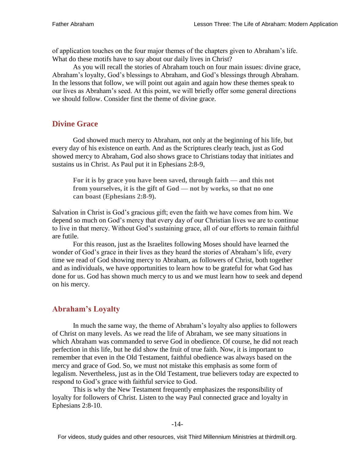of application touches on the four major themes of the chapters given to Abraham's life. What do these motifs have to say about our daily lives in Christ?

As you will recall the stories of Abraham touch on four main issues: divine grace, Abraham's loyalty, God's blessings to Abraham, and God's blessings through Abraham. In the lessons that follow, we will point out again and again how these themes speak to our lives as Abraham's seed. At this point, we will briefly offer some general directions we should follow. Consider first the theme of divine grace.

#### **Divine Grace**

God showed much mercy to Abraham, not only at the beginning of his life, but every day of his existence on earth. And as the Scriptures clearly teach, just as God showed mercy to Abraham, God also shows grace to Christians today that initiates and sustains us in Christ. As Paul put it in Ephesians 2:8-9,

**For it is by grace you have been saved, through faith — and this not from yourselves, it is the gift of God — not by works, so that no one can boast (Ephesians 2:8-9).**

Salvation in Christ is God's gracious gift; even the faith we have comes from him. We depend so much on God's mercy that every day of our Christian lives we are to continue to live in that mercy. Without God's sustaining grace, all of our efforts to remain faithful are futile.

For this reason, just as the Israelites following Moses should have learned the wonder of God's grace in their lives as they heard the stories of Abraham's life, every time we read of God showing mercy to Abraham, as followers of Christ, both together and as individuals, we have opportunities to learn how to be grateful for what God has done for us. God has shown much mercy to us and we must learn how to seek and depend on his mercy.

#### **Abraham's Loyalty**

In much the same way, the theme of Abraham's loyalty also applies to followers of Christ on many levels. As we read the life of Abraham, we see many situations in which Abraham was commanded to serve God in obedience. Of course, he did not reach perfection in this life, but he did show the fruit of true faith. Now, it is important to remember that even in the Old Testament, faithful obedience was always based on the mercy and grace of God. So, we must not mistake this emphasis as some form of legalism. Nevertheless, just as in the Old Testament, true believers today are expected to respond to God's grace with faithful service to God.

This is why the New Testament frequently emphasizes the responsibility of loyalty for followers of Christ. Listen to the way Paul connected grace and loyalty in Ephesians 2:8-10.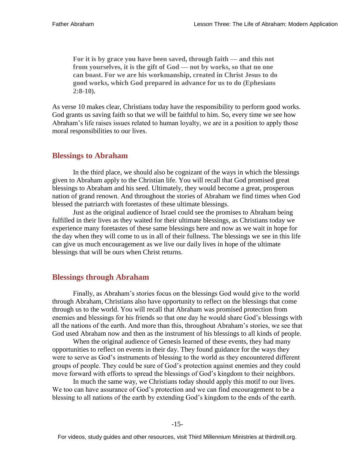**For it is by grace you have been saved, through faith — and this not from yourselves, it is the gift of God — not by works, so that no one can boast. For we are his workmanship, created in Christ Jesus to do good works, which God prepared in advance for us to do (Ephesians 2:8-10).**

As verse 10 makes clear, Christians today have the responsibility to perform good works. God grants us saving faith so that we will be faithful to him. So, every time we see how Abraham's life raises issues related to human loyalty, we are in a position to apply those moral responsibilities to our lives.

#### **Blessings to Abraham**

In the third place, we should also be cognizant of the ways in which the blessings given to Abraham apply to the Christian life. You will recall that God promised great blessings to Abraham and his seed. Ultimately, they would become a great, prosperous nation of grand renown. And throughout the stories of Abraham we find times when God blessed the patriarch with foretastes of these ultimate blessings.

Just as the original audience of Israel could see the promises to Abraham being fulfilled in their lives as they waited for their ultimate blessings, as Christians today we experience many foretastes of these same blessings here and now as we wait in hope for the day when they will come to us in all of their fullness. The blessings we see in this life can give us much encouragement as we live our daily lives in hope of the ultimate blessings that will be ours when Christ returns.

#### **Blessings through Abraham**

Finally, as Abraham's stories focus on the blessings God would give to the world through Abraham, Christians also have opportunity to reflect on the blessings that come through us to the world. You will recall that Abraham was promised protection from enemies and blessings for his friends so that one day he would share God's blessings with all the nations of the earth. And more than this, throughout Abraham's stories, we see that God used Abraham now and then as the instrument of his blessings to all kinds of people.

When the original audience of Genesis learned of these events, they had many opportunities to reflect on events in their day. They found guidance for the ways they were to serve as God's instruments of blessing to the world as they encountered different groups of people. They could be sure of God's protection against enemies and they could move forward with efforts to spread the blessings of God's kingdom to their neighbors.

In much the same way, we Christians today should apply this motif to our lives. We too can have assurance of God's protection and we can find encouragement to be a blessing to all nations of the earth by extending God's kingdom to the ends of the earth.